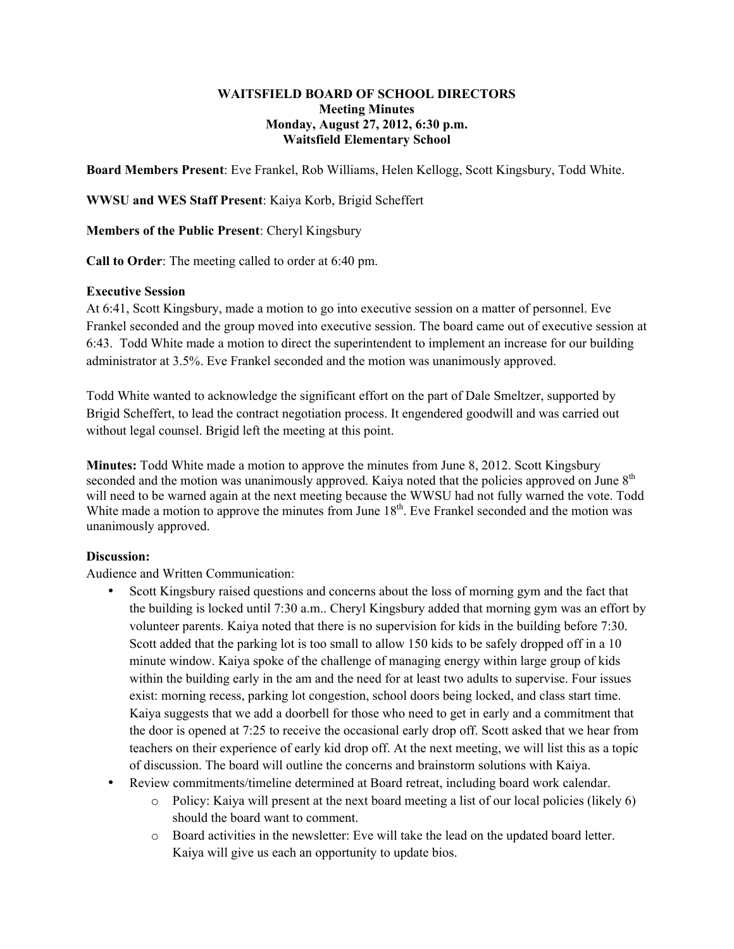### **WAITSFIELD BOARD OF SCHOOL DIRECTORS Meeting Minutes Monday, August 27, 2012, 6:30 p.m. Waitsfield Elementary School**

**Board Members Present**: Eve Frankel, Rob Williams, Helen Kellogg, Scott Kingsbury, Todd White.

**WWSU and WES Staff Present**: Kaiya Korb, Brigid Scheffert

**Members of the Public Present**: Cheryl Kingsbury

**Call to Order**: The meeting called to order at 6:40 pm.

## **Executive Session**

At 6:41, Scott Kingsbury, made a motion to go into executive session on a matter of personnel. Eve Frankel seconded and the group moved into executive session. The board came out of executive session at 6:43. Todd White made a motion to direct the superintendent to implement an increase for our building administrator at 3.5%. Eve Frankel seconded and the motion was unanimously approved.

Todd White wanted to acknowledge the significant effort on the part of Dale Smeltzer, supported by Brigid Scheffert, to lead the contract negotiation process. It engendered goodwill and was carried out without legal counsel. Brigid left the meeting at this point.

**Minutes:** Todd White made a motion to approve the minutes from June 8, 2012. Scott Kingsbury seconded and the motion was unanimously approved. Kaiya noted that the policies approved on June 8<sup>th</sup> will need to be warned again at the next meeting because the WWSU had not fully warned the vote. Todd White made a motion to approve the minutes from June  $18<sup>th</sup>$ . Eve Frankel seconded and the motion was unanimously approved.

# **Discussion:**

Audience and Written Communication:

- Scott Kingsbury raised questions and concerns about the loss of morning gym and the fact that the building is locked until 7:30 a.m.. Cheryl Kingsbury added that morning gym was an effort by volunteer parents. Kaiya noted that there is no supervision for kids in the building before 7:30. Scott added that the parking lot is too small to allow 150 kids to be safely dropped off in a 10 minute window. Kaiya spoke of the challenge of managing energy within large group of kids within the building early in the am and the need for at least two adults to supervise. Four issues exist: morning recess, parking lot congestion, school doors being locked, and class start time. Kaiya suggests that we add a doorbell for those who need to get in early and a commitment that the door is opened at 7:25 to receive the occasional early drop off. Scott asked that we hear from teachers on their experience of early kid drop off. At the next meeting, we will list this as a topic of discussion. The board will outline the concerns and brainstorm solutions with Kaiya.
- Review commitments/timeline determined at Board retreat, including board work calendar.
	- $\circ$  Policy: Kaiya will present at the next board meeting a list of our local policies (likely 6) should the board want to comment.
	- o Board activities in the newsletter: Eve will take the lead on the updated board letter. Kaiya will give us each an opportunity to update bios.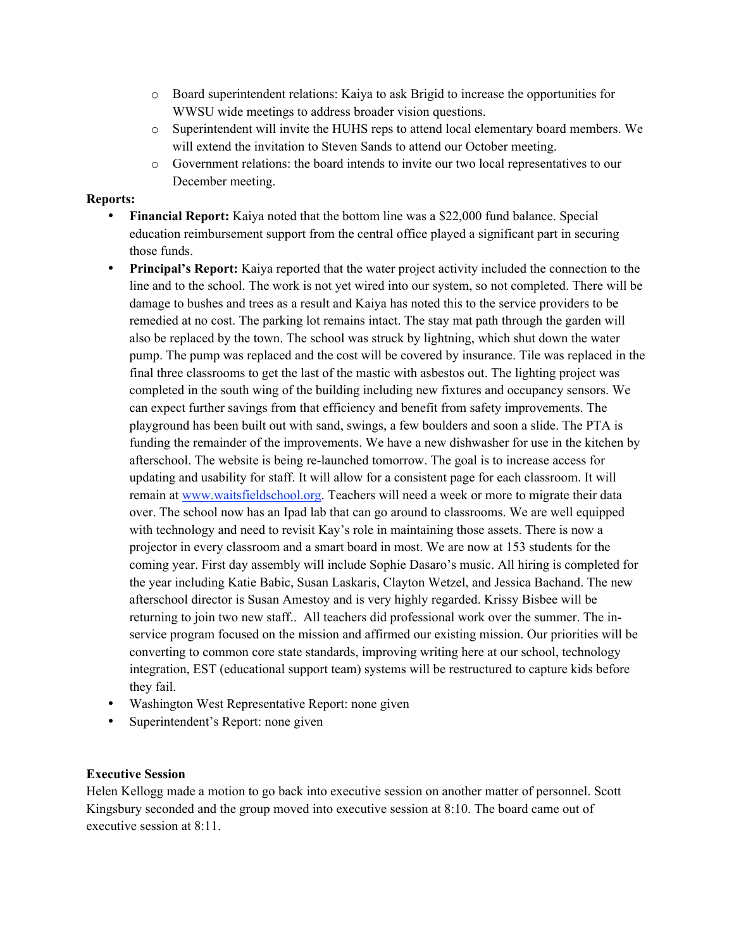- o Board superintendent relations: Kaiya to ask Brigid to increase the opportunities for WWSU wide meetings to address broader vision questions.
- o Superintendent will invite the HUHS reps to attend local elementary board members. We will extend the invitation to Steven Sands to attend our October meeting.
- o Government relations: the board intends to invite our two local representatives to our December meeting.

#### **Reports:**

- **Financial Report:** Kaiya noted that the bottom line was a \$22,000 fund balance. Special education reimbursement support from the central office played a significant part in securing those funds.
- **Principal's Report:** Kaiya reported that the water project activity included the connection to the line and to the school. The work is not yet wired into our system, so not completed. There will be damage to bushes and trees as a result and Kaiya has noted this to the service providers to be remedied at no cost. The parking lot remains intact. The stay mat path through the garden will also be replaced by the town. The school was struck by lightning, which shut down the water pump. The pump was replaced and the cost will be covered by insurance. Tile was replaced in the final three classrooms to get the last of the mastic with asbestos out. The lighting project was completed in the south wing of the building including new fixtures and occupancy sensors. We can expect further savings from that efficiency and benefit from safety improvements. The playground has been built out with sand, swings, a few boulders and soon a slide. The PTA is funding the remainder of the improvements. We have a new dishwasher for use in the kitchen by afterschool. The website is being re-launched tomorrow. The goal is to increase access for updating and usability for staff. It will allow for a consistent page for each classroom. It will remain at www.waitsfieldschool.org. Teachers will need a week or more to migrate their data over. The school now has an Ipad lab that can go around to classrooms. We are well equipped with technology and need to revisit Kay's role in maintaining those assets. There is now a projector in every classroom and a smart board in most. We are now at 153 students for the coming year. First day assembly will include Sophie Dasaro's music. All hiring is completed for the year including Katie Babic, Susan Laskaris, Clayton Wetzel, and Jessica Bachand. The new afterschool director is Susan Amestoy and is very highly regarded. Krissy Bisbee will be returning to join two new staff.. All teachers did professional work over the summer. The inservice program focused on the mission and affirmed our existing mission. Our priorities will be converting to common core state standards, improving writing here at our school, technology integration, EST (educational support team) systems will be restructured to capture kids before they fail.
- Washington West Representative Report: none given
- Superintendent's Report: none given

## **Executive Session**

Helen Kellogg made a motion to go back into executive session on another matter of personnel. Scott Kingsbury seconded and the group moved into executive session at 8:10. The board came out of executive session at 8:11